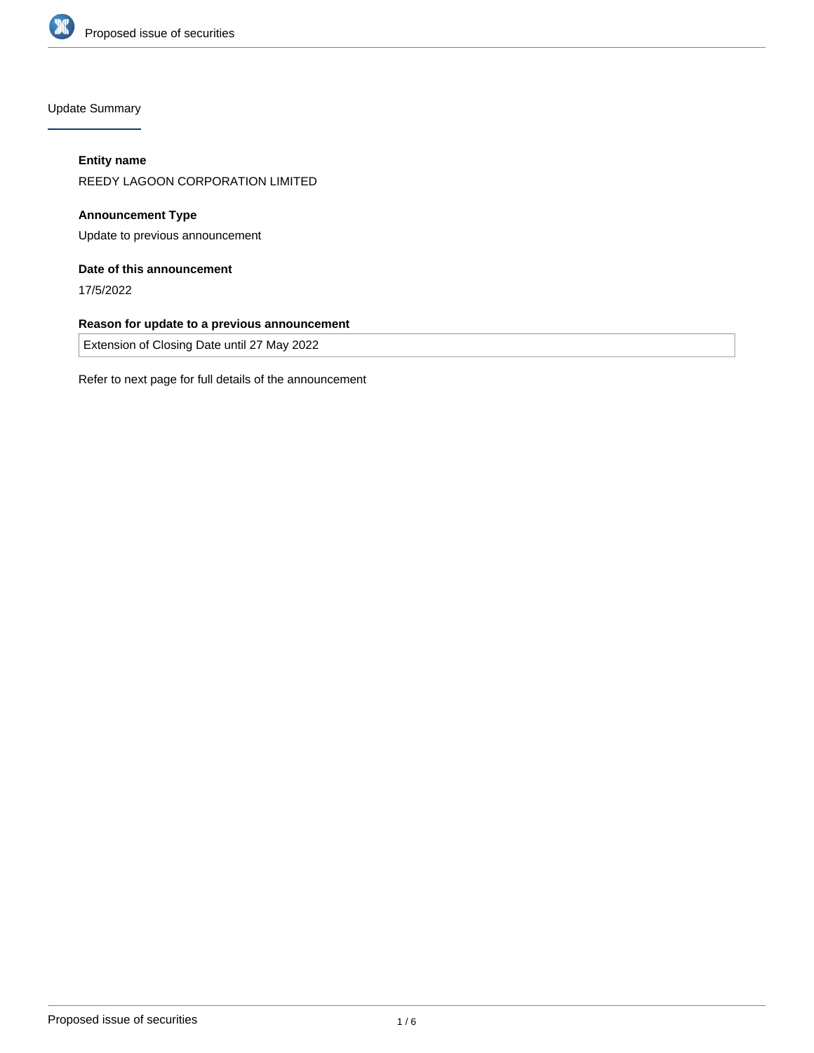

Update Summary

# **Entity name**

REEDY LAGOON CORPORATION LIMITED

**Announcement Type** Update to previous announcement

# **Date of this announcement**

17/5/2022

## **Reason for update to a previous announcement**

Extension of Closing Date until 27 May 2022

Refer to next page for full details of the announcement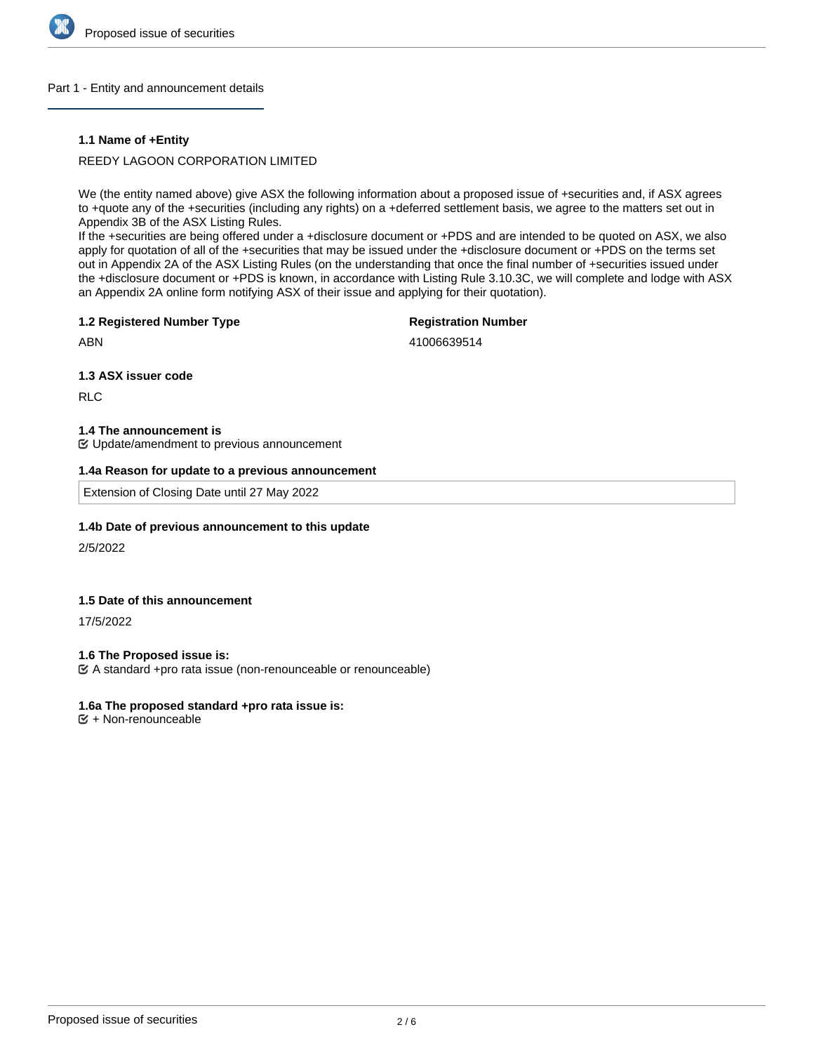

### Part 1 - Entity and announcement details

### **1.1 Name of +Entity**

## REEDY LAGOON CORPORATION LIMITED

We (the entity named above) give ASX the following information about a proposed issue of +securities and, if ASX agrees to +quote any of the +securities (including any rights) on a +deferred settlement basis, we agree to the matters set out in Appendix 3B of the ASX Listing Rules.

If the +securities are being offered under a +disclosure document or +PDS and are intended to be quoted on ASX, we also apply for quotation of all of the +securities that may be issued under the +disclosure document or +PDS on the terms set out in Appendix 2A of the ASX Listing Rules (on the understanding that once the final number of +securities issued under the +disclosure document or +PDS is known, in accordance with Listing Rule 3.10.3C, we will complete and lodge with ASX an Appendix 2A online form notifying ASX of their issue and applying for their quotation).

#### **1.2 Registered Number Type**

# **Registration Number**

ABN

41006639514

#### **1.3 ASX issuer code**

RLC

### **1.4 The announcement is**

Update/amendment to previous announcement

#### **1.4a Reason for update to a previous announcement**

Extension of Closing Date until 27 May 2022

### **1.4b Date of previous announcement to this update**

2/5/2022

### **1.5 Date of this announcement**

17/5/2022

### **1.6 The Proposed issue is:**

A standard +pro rata issue (non-renounceable or renounceable)

### **1.6a The proposed standard +pro rata issue is:**

 $E + Non-renounceable$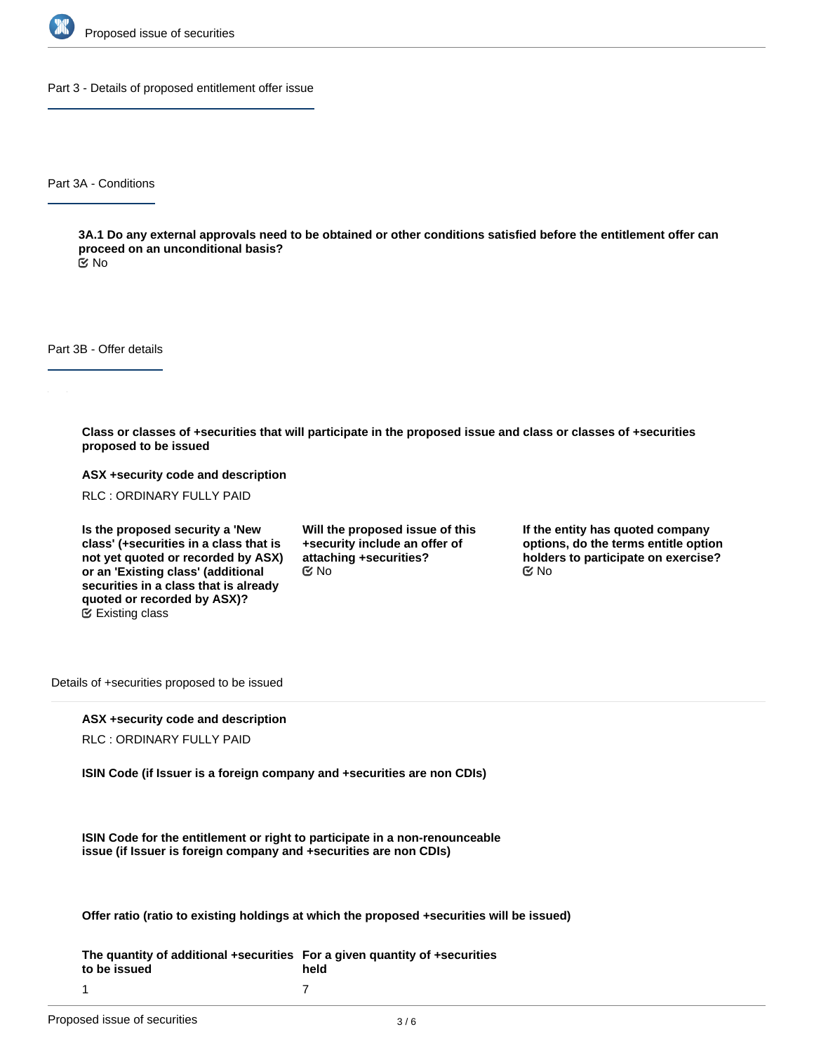

Part 3 - Details of proposed entitlement offer issue

Part 3A - Conditions

**3A.1 Do any external approvals need to be obtained or other conditions satisfied before the entitlement offer can proceed on an unconditional basis?**

No

Part 3B - Offer details

**Class or classes of +securities that will participate in the proposed issue and class or classes of +securities proposed to be issued**

**ASX +security code and description**

RLC : ORDINARY FULLY PAID

**Is the proposed security a 'New class' (+securities in a class that is not yet quoted or recorded by ASX) or an 'Existing class' (additional securities in a class that is already quoted or recorded by ASX)?** Existing class

**Will the proposed issue of this +security include an offer of attaching +securities?**  $\mathfrak{S}$  No  $\mathfrak{S}$  No  $\mathfrak{S}$  No

**If the entity has quoted company options, do the terms entitle option holders to participate on exercise?**

Details of +securities proposed to be issued

### **ASX +security code and description**

RLC : ORDINARY FULLY PAID

**ISIN Code (if Issuer is a foreign company and +securities are non CDIs)**

**ISIN Code for the entitlement or right to participate in a non-renounceable issue (if Issuer is foreign company and +securities are non CDIs)**

**Offer ratio (ratio to existing holdings at which the proposed +securities will be issued)**

**The quantity of additional +securities For a given quantity of +securities to be issued held** 7

1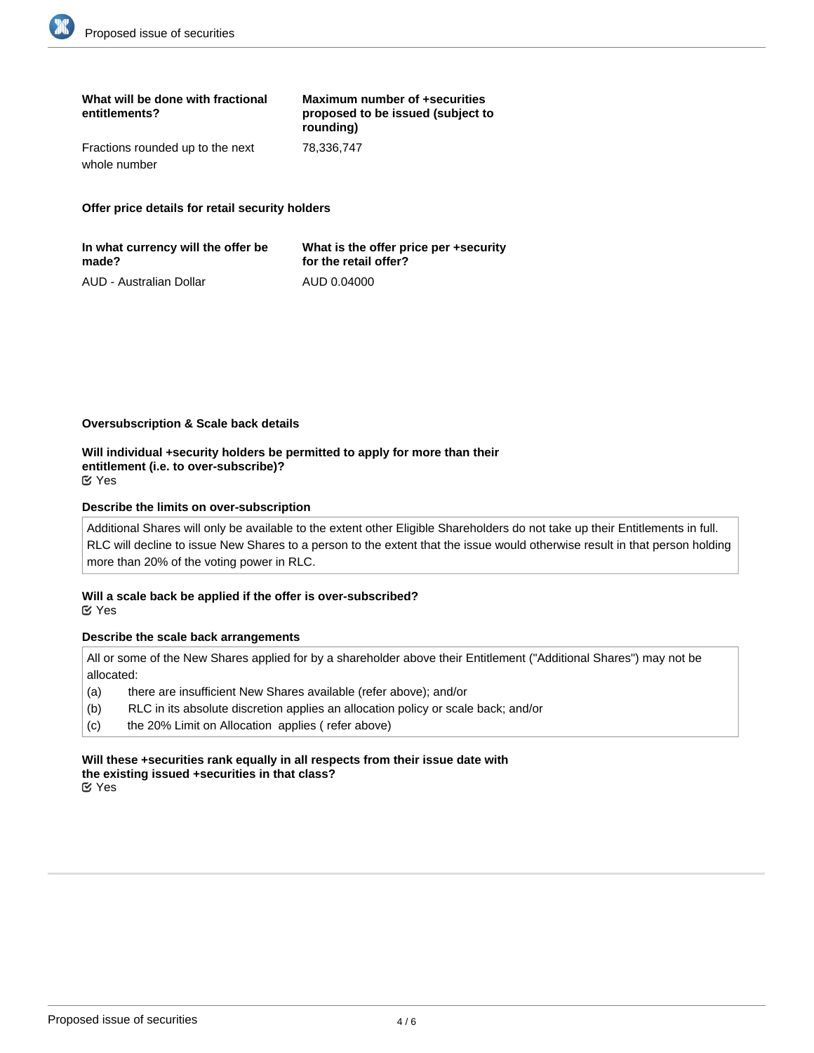| What will be done with fractional<br>entitlements? | Maximum number of +securities<br>proposed to be issued (subject to<br>rounding) |
|----------------------------------------------------|---------------------------------------------------------------------------------|
| Fractions rounded up to the next                   | 78.336.747                                                                      |
| whole number                                       |                                                                                 |

**Offer price details for retail security holders**

| In what currency will the offer be | What is the offer price per +security |
|------------------------------------|---------------------------------------|
| made?                              | for the retail offer?                 |
| AUD - Australian Dollar            | AUD 0.04000                           |

#### **Oversubscription & Scale back details**

**Will individual +security holders be permitted to apply for more than their entitlement (i.e. to over-subscribe)?** Yes

#### **Describe the limits on over-subscription**

Additional Shares will only be available to the extent other Eligible Shareholders do not take up their Entitlements in full. RLC will decline to issue New Shares to a person to the extent that the issue would otherwise result in that person holding more than 20% of the voting power in RLC.

### **Will a scale back be applied if the offer is over-subscribed?** Yes

#### **Describe the scale back arrangements**

All or some of the New Shares applied for by a shareholder above their Entitlement ("Additional Shares") may not be allocated:

- (a) there are insufficient New Shares available (refer above); and/or
- (b) RLC in its absolute discretion applies an allocation policy or scale back; and/or
- (c) the 20% Limit on Allocation applies ( refer above)

**Will these +securities rank equally in all respects from their issue date with the existing issued +securities in that class?** Yes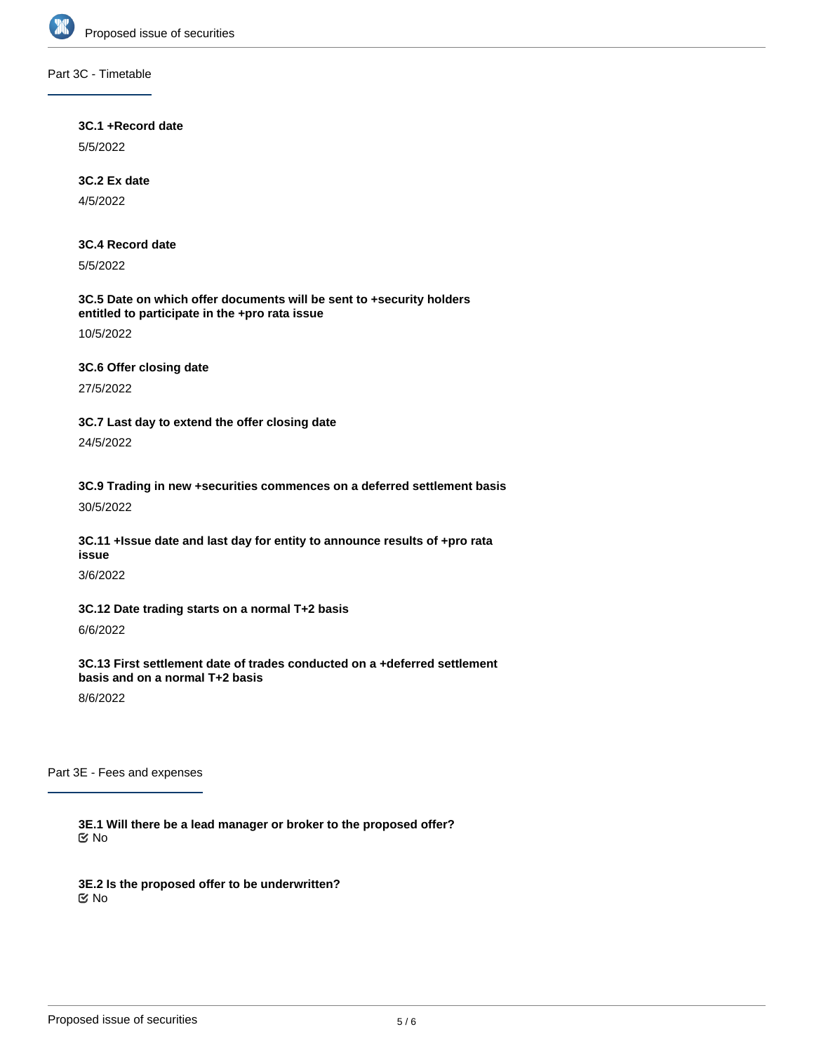

## Part 3C - Timetable

### **3C.1 +Record date**

5/5/2022

# **3C.2 Ex date**

4/5/2022

# **3C.4 Record date**

5/5/2022

## **3C.5 Date on which offer documents will be sent to +security holders entitled to participate in the +pro rata issue**

10/5/2022

# **3C.6 Offer closing date**

27/5/2022

**3C.7 Last day to extend the offer closing date** 24/5/2022

**3C.9 Trading in new +securities commences on a deferred settlement basis** 30/5/2022

**3C.11 +Issue date and last day for entity to announce results of +pro rata issue**

3/6/2022

**3C.12 Date trading starts on a normal T+2 basis**

6/6/2022

**3C.13 First settlement date of trades conducted on a +deferred settlement basis and on a normal T+2 basis**

8/6/2022

Part 3E - Fees and expenses

**3E.1 Will there be a lead manager or broker to the proposed offer?** No

**3E.2 Is the proposed offer to be underwritten?** No

**3E.3 Will brokers who lodge acceptances or renunciations on behalf of eligible +security holders be paid a**